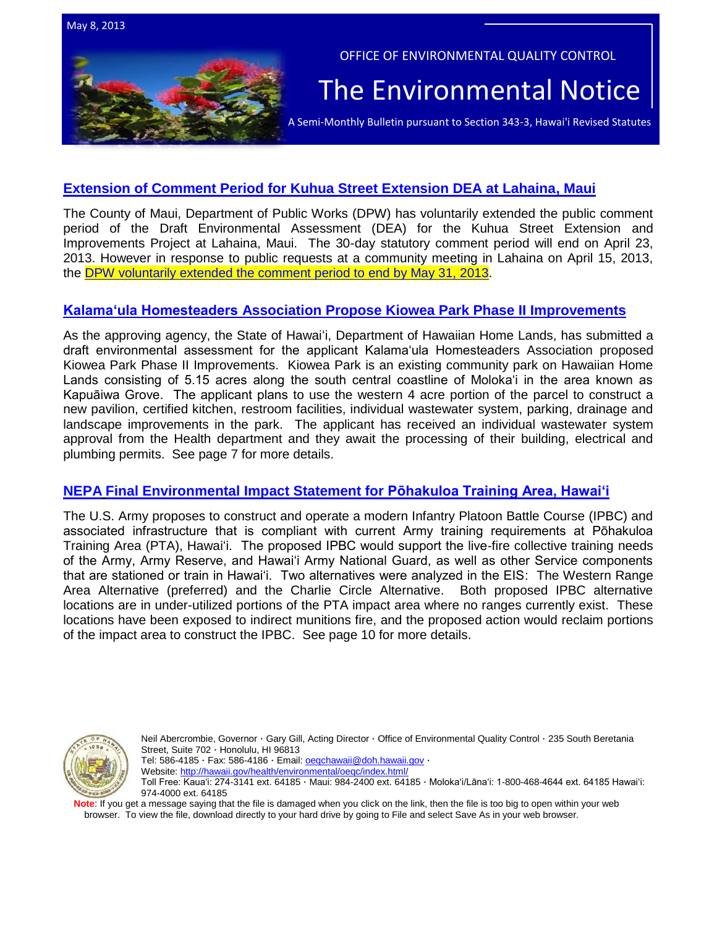



OFFICE OF ENVIRONMENTAL QUALITY CONTROL

# The Environmental Notice

A Semi-Monthly Bulletin pursuant to Section 343-3, Hawai'i Revised Statutes

# **[Extension of Comment Period for Kuhua Street Extension DEA at Lahaina,](http://oeqc.doh.hawaii.gov/Shared%20Documents/EA_and_EIS_Online_Library/Maui/2010s/2013-03-23-MA-5B-DEA-Kuhua-Street-Extension.pdf) Maui**

The County of Maui, Department of Public Works (DPW) has voluntarily extended the public comment period of the Draft Environmental Assessment (DEA) for the Kuhua Street Extension and Improvements Project at Lahaina, Maui. The 30-day statutory comment period will end on April 23, 2013. However in response to public requests at a community meeting in Lahaina on April 15, 2013, the [DPW voluntarily extended the comment period to](http://oeqc.doh.hawaii.gov/Shared%20Documents/EA_and_EIS_Online_Library/Maui/2010s/2013-05-08-MA-5B-Extension-of-30-Day-Comment-Period-to-Kuhua-Street-Extention-DEA.pdf) end by May 31, 2013.

# **Kalama'ula Homesteaders Association [Propose Kiowea Park Phase II Improvements](http://oeqc.doh.hawaii.gov/Shared%20Documents/EA_and_EIS_Online_Library/Molokai/2010s/2013-05-08-MA-5E-DEA-Kiwoea-Park-Improvements-Phase-II-Kalamaula.pdf)**

As the approving agency, the State of Hawaiʻi, Department of Hawaiian Home Lands, has submitted a draft environmental assessment for the applicant Kalama'ula Homesteaders Association proposed Kiowea Park Phase II Improvements. Kiowea Park is an existing community park on Hawaiian Home Lands consisting of 5.15 acres along the south central coastline of Moloka'i in the area known as Kapuāiwa Grove. The applicant plans to use the western 4 acre portion of the parcel to construct a new pavilion, certified kitchen, restroom facilities, individual wastewater system, parking, drainage and landscape improvements in the park. The applicant has received an individual wastewater system approval from the Health department and they await the processing of their building, electrical and plumbing permits. See page 7 for more details.

# **NEPA [Final Environmental Impact Statement for Pōhakuloa Training Area, Hawai'i](http://www.gpo.gov/fdsys/pkg/FR-2013-04-26/pdf/2013-09827.pdf)**

The U.S. Army proposes to construct and operate a modern Infantry Platoon Battle Course (IPBC) and associated infrastructure that is compliant with current Army training requirements at Pōhakuloa Training Area (PTA), Hawai'i. The proposed IPBC would support the live-fire collective training needs of the Army, Army Reserve, and Hawai'i Army National Guard, as well as other Service components that are stationed or train in Hawai'i. Two alternatives were analyzed in the EIS: The Western Range Area Alternative (preferred) and the Charlie Circle Alternative. Both proposed IPBC alternative locations are in under-utilized portions of the PTA impact area where no ranges currently exist. These locations have been exposed to indirect munitions fire, and the proposed action would reclaim portions of the impact area to construct the IPBC. See page 10 for more details.



Neil Abercrombie, Governor · Gary Gill, Acting Director · Office of Environmental Quality Control · 235 South Beretania Street, Suite 702 · Honolulu, HI 96813 Tel: 586-4185 · Fax: 586-4186 · Email: oegchawaii@doh.hawaii.gov ·

Website:<http://hawaii.gov/health/environmental/oeqc/index.html/>

Toll Free: Kauaʻi: 274-3141 ext. 64185 · Maui: 984-2400 ext. 64185 · Molokaʻi/Lānaʻi: 1-800-468-4644 ext. 64185 Hawaiʻi: 974-4000 ext. 64185

Note: If you get a message saying that the file is damaged when you click on the link, then the file is too big to open within your web browser. To view the file, download directly to your hard drive by going to File and select Save As in your web browser.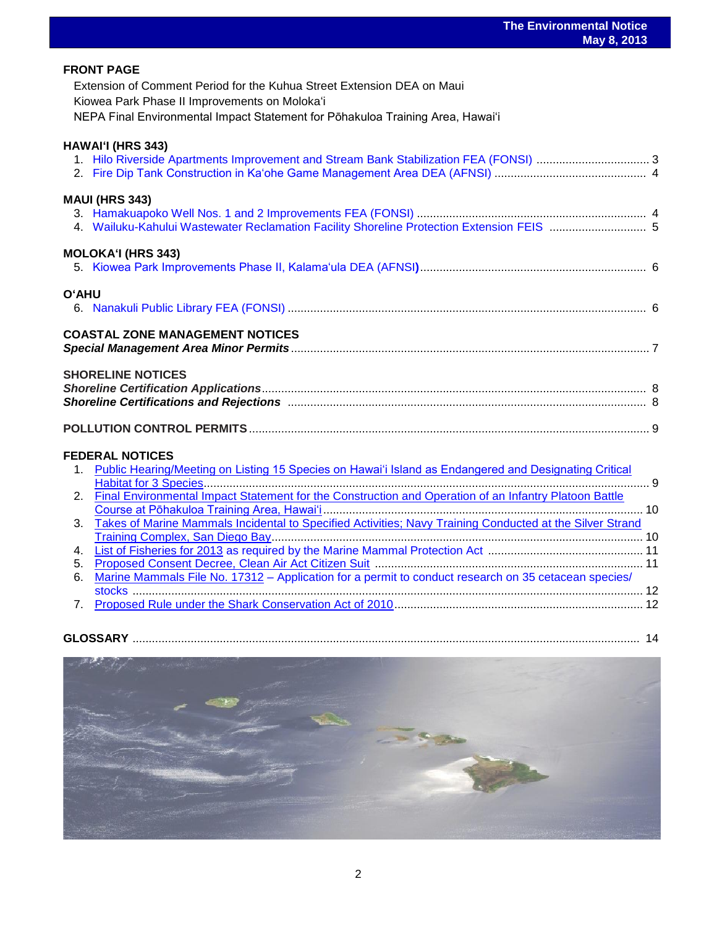|              | <b>FRONT PAGE</b><br>Extension of Comment Period for the Kuhua Street Extension DEA on Maui<br>Kiowea Park Phase II Improvements on Moloka'i<br>NEPA Final Environmental Impact Statement for Pōhakuloa Training Area, Hawai'i |  |
|--------------|--------------------------------------------------------------------------------------------------------------------------------------------------------------------------------------------------------------------------------|--|
|              | <b>HAWAI'I (HRS 343)</b><br>1. Hilo Riverside Apartments Improvement and Stream Bank Stabilization FEA (FONSI)  3                                                                                                              |  |
|              | <b>MAUI (HRS 343)</b><br>4. Wailuku-Kahului Wastewater Reclamation Facility Shoreline Protection Extension FEIS  5                                                                                                             |  |
|              | <b>MOLOKA'I (HRS 343)</b>                                                                                                                                                                                                      |  |
| <b>O'AHU</b> |                                                                                                                                                                                                                                |  |
|              | <b>COASTAL ZONE MANAGEMENT NOTICES</b>                                                                                                                                                                                         |  |
|              | <b>SHORELINE NOTICES</b>                                                                                                                                                                                                       |  |
|              |                                                                                                                                                                                                                                |  |
|              | <b>FEDERAL NOTICES</b><br>1. Public Hearing/Meeting on Listing 15 Species on Hawai'i Island as Endangered and Designating Critical                                                                                             |  |
|              | 2. Final Environmental Impact Statement for the Construction and Operation of an Infantry Platoon Battle                                                                                                                       |  |
| 3.           | Takes of Marine Mammals Incidental to Specified Activities; Navy Training Conducted at the Silver Strand                                                                                                                       |  |
|              |                                                                                                                                                                                                                                |  |
| 4.           |                                                                                                                                                                                                                                |  |
| 5.<br>6.     | Marine Mammals File No. 17312 - Application for a permit to conduct research on 35 cetacean species/                                                                                                                           |  |
|              |                                                                                                                                                                                                                                |  |
|              |                                                                                                                                                                                                                                |  |
|              |                                                                                                                                                                                                                                |  |

| <b>GLOSSARY</b> |
|-----------------|
|-----------------|

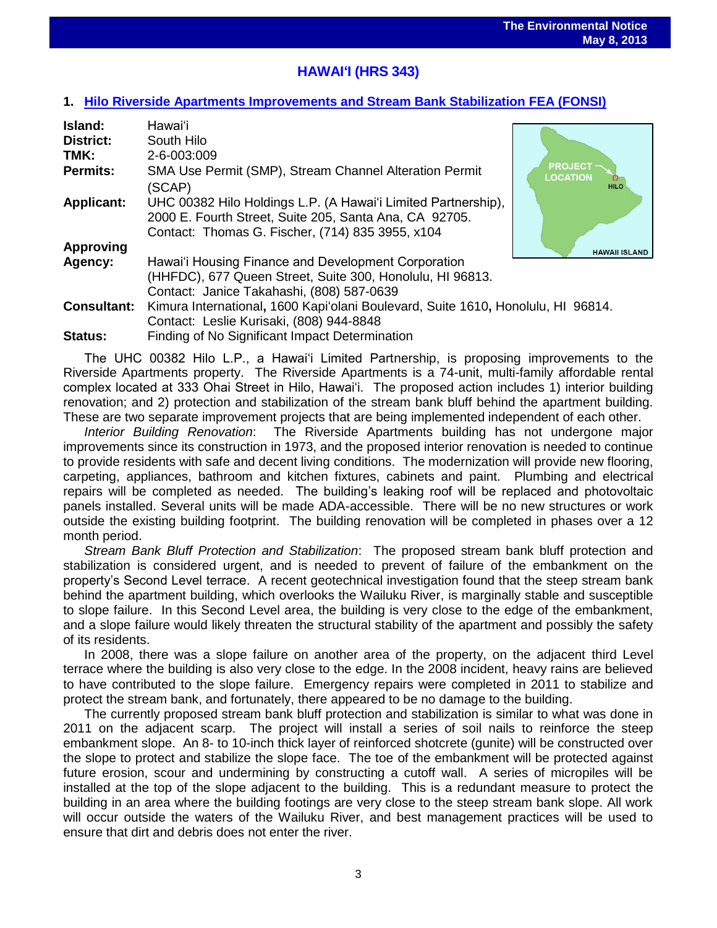# **HAWAIʻI (HRS 343)**

## **1. [Hilo Riverside Apartments Improvements and Stream Bank Stabilization](http://oeqc.doh.hawaii.gov/Shared%20Documents/EA_and_EIS_Online_Library/Hawaii/2010s/2013-05-08-HA-5E-FEA-Hilo-Riverside-Apartments-Improvements-and-Stream-Bank-Stabilization.pdf) FEA (FONSI)**

| Island:            | Hawai'i                                                                                                                                                                     |                                                  |
|--------------------|-----------------------------------------------------------------------------------------------------------------------------------------------------------------------------|--------------------------------------------------|
| <b>District:</b>   | South Hilo                                                                                                                                                                  |                                                  |
| TMK:               | 2-6-003:009                                                                                                                                                                 |                                                  |
| <b>Permits:</b>    | SMA Use Permit (SMP), Stream Channel Alteration Permit<br>(SCAP)                                                                                                            | <b>PROJECT</b><br><b>LOCATION</b><br><b>HILO</b> |
| <b>Applicant:</b>  | UHC 00382 Hilo Holdings L.P. (A Hawai'i Limited Partnership),<br>2000 E. Fourth Street, Suite 205, Santa Ana, CA 92705.<br>Contact: Thomas G. Fischer, (714) 835 3955, x104 |                                                  |
| <b>Approving</b>   |                                                                                                                                                                             | <b>HAWAII ISLAND</b>                             |
| Agency:            | Hawai'i Housing Finance and Development Corporation                                                                                                                         |                                                  |
|                    | (HHFDC), 677 Queen Street, Suite 300, Honolulu, HI 96813.                                                                                                                   |                                                  |
|                    | Contact: Janice Takahashi, (808) 587-0639                                                                                                                                   |                                                  |
| <b>Consultant:</b> | Kimura International, 1600 Kapi'olani Boulevard, Suite 1610, Honolulu, HI 96814.                                                                                            |                                                  |
|                    | Contact: Leslie Kurisaki, (808) 944-8848                                                                                                                                    |                                                  |
| Status:            | Finding of No Significant Impact Determination                                                                                                                              |                                                  |

The UHC 00382 Hilo L.P., a Hawai'i Limited Partnership, is proposing improvements to the Riverside Apartments property. The Riverside Apartments is a 74-unit, multi-family affordable rental complex located at 333 Ohai Street in Hilo, Hawai'i. The proposed action includes 1) interior building renovation; and 2) protection and stabilization of the stream bank bluff behind the apartment building. These are two separate improvement projects that are being implemented independent of each other.

*Interior Building Renovation*: The Riverside Apartments building has not undergone major improvements since its construction in 1973, and the proposed interior renovation is needed to continue to provide residents with safe and decent living conditions. The modernization will provide new flooring, carpeting, appliances, bathroom and kitchen fixtures, cabinets and paint. Plumbing and electrical repairs will be completed as needed. The building's leaking roof will be replaced and photovoltaic panels installed. Several units will be made ADA-accessible. There will be no new structures or work outside the existing building footprint. The building renovation will be completed in phases over a 12 month period.

*Stream Bank Bluff Protection and Stabilization*: The proposed stream bank bluff protection and stabilization is considered urgent, and is needed to prevent of failure of the embankment on the property's Second Level terrace. A recent geotechnical investigation found that the steep stream bank behind the apartment building, which overlooks the Wailuku River, is marginally stable and susceptible to slope failure. In this Second Level area, the building is very close to the edge of the embankment, and a slope failure would likely threaten the structural stability of the apartment and possibly the safety of its residents.

In 2008, there was a slope failure on another area of the property, on the adjacent third Level terrace where the building is also very close to the edge. In the 2008 incident, heavy rains are believed to have contributed to the slope failure. Emergency repairs were completed in 2011 to stabilize and protect the stream bank, and fortunately, there appeared to be no damage to the building.

The currently proposed stream bank bluff protection and stabilization is similar to what was done in 2011 on the adjacent scarp. The project will install a series of soil nails to reinforce the steep embankment slope. An 8- to 10-inch thick layer of reinforced shotcrete (gunite) will be constructed over the slope to protect and stabilize the slope face. The toe of the embankment will be protected against future erosion, scour and undermining by constructing a cutoff wall. A series of micropiles will be installed at the top of the slope adjacent to the building. This is a redundant measure to protect the building in an area where the building footings are very close to the steep stream bank slope. All work will occur outside the waters of the Wailuku River, and best management practices will be used to ensure that dirt and debris does not enter the river.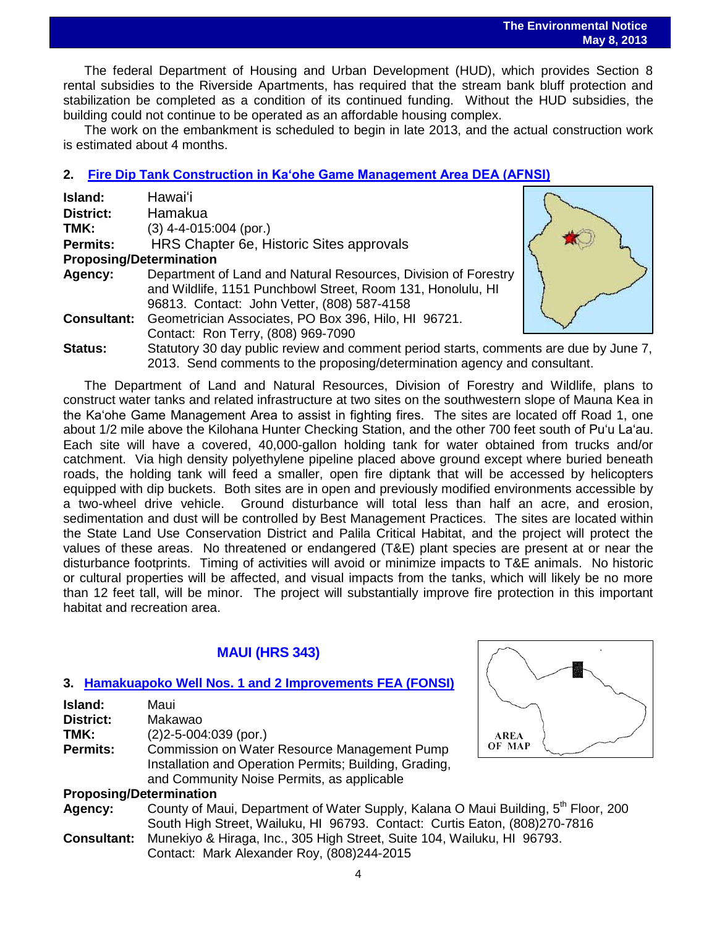The federal Department of Housing and Urban Development (HUD), which provides Section 8 rental subsidies to the Riverside Apartments, has required that the stream bank bluff protection and stabilization be completed as a condition of its continued funding. Without the HUD subsidies, the building could not continue to be operated as an affordable housing complex.

The work on the embankment is scheduled to begin in late 2013, and the actual construction work is estimated about 4 months.

# **2. Fire Dip [Tank Construction in Kaʻohe Game Management Area DEA \(AFNSI\)](http://oeqc.doh.hawaii.gov/Shared%20Documents/EA_and_EIS_Online_Library/Hawaii/2010s/2013-05-08-HA-5B-DEA-Fire-Diptank-Construction-Kaohe-Game-Management-Area.pdf)**

| Island:                        | Hawaiʻi                                                                                                                                                                      |  |  |
|--------------------------------|------------------------------------------------------------------------------------------------------------------------------------------------------------------------------|--|--|
| <b>District:</b>               | Hamakua                                                                                                                                                                      |  |  |
| TMK:                           | $(3)$ 4-4-015:004 (por.)                                                                                                                                                     |  |  |
| <b>Permits:</b>                | HRS Chapter 6e, Historic Sites approvals                                                                                                                                     |  |  |
| <b>Proposing/Determination</b> |                                                                                                                                                                              |  |  |
| Agency:                        | Department of Land and Natural Resources, Division of Forestry<br>and Wildlife, 1151 Punchbowl Street, Room 131, Honolulu, HI<br>96813. Contact: John Vetter, (808) 587-4158 |  |  |
| <b>Consultant:</b>             | Geometrician Associates, PO Box 396, Hilo, HI 96721.<br>Contact: Ron Terry, (808) 969-7090                                                                                   |  |  |
| <b>Status:</b>                 | Statutory 30 day public review and comment period starts, comments are due by June 7,<br>2013. Send comments to the proposing/determination agency and consultant.           |  |  |

The Department of Land and Natural Resources, Division of Forestry and Wildlife, plans to construct water tanks and related infrastructure at two sites on the southwestern slope of Mauna Kea in the Ka'ohe Game Management Area to assist in fighting fires. The sites are located off Road 1, one about 1/2 mile above the Kilohana Hunter Checking Station, and the other 700 feet south of Pu'u La'au. Each site will have a covered, 40,000-gallon holding tank for water obtained from trucks and/or catchment. Via high density polyethylene pipeline placed above ground except where buried beneath roads, the holding tank will feed a smaller, open fire diptank that will be accessed by helicopters equipped with dip buckets. Both sites are in open and previously modified environments accessible by a two-wheel drive vehicle. Ground disturbance will total less than half an acre, and erosion, sedimentation and dust will be controlled by Best Management Practices. The sites are located within the State Land Use Conservation District and Palila Critical Habitat, and the project will protect the values of these areas. No threatened or endangered (T&E) plant species are present at or near the disturbance footprints. Timing of activities will avoid or minimize impacts to T&E animals. No historic or cultural properties will be affected, and visual impacts from the tanks, which will likely be no more than 12 feet tall, will be minor. The project will substantially improve fire protection in this important habitat and recreation area.

# **MAUI (HRS 343)**

# **3. [Hamakuapoko Well Nos. 1 and 2](http://oeqc.doh.hawaii.gov/Shared%20Documents/EA_and_EIS_Online_Library/Maui/2010s/2013-05-08-MA-5B-FEA-Hamakuapoko-Wells-Nos.-1-and-2-Improvements.pdf) Improvements FEA (FONSI)**

| Island:                        | Maui                                                                                           |             |  |  |
|--------------------------------|------------------------------------------------------------------------------------------------|-------------|--|--|
| <b>District:</b>               | Makawao                                                                                        |             |  |  |
| TMK:                           | $(2)$ 2-5-004:039 (por.)                                                                       | <b>AREA</b> |  |  |
| <b>Permits:</b>                | Commission on Water Resource Management Pump                                                   | OF MAP      |  |  |
|                                | Installation and Operation Permits; Building, Grading,                                         |             |  |  |
|                                | and Community Noise Permits, as applicable                                                     |             |  |  |
| <b>Proposing/Determination</b> |                                                                                                |             |  |  |
| Agency:                        | County of Maui, Department of Water Supply, Kalana O Maui Building, 5 <sup>th</sup> Floor, 200 |             |  |  |
|                                | South High Street, Wailuku, HI 96793. Contact: Curtis Eaton, (808)270-7816                     |             |  |  |
| <b>Consultant:</b>             | Munekiyo & Hiraga, Inc., 305 High Street, Suite 104, Wailuku, HI 96793.                        |             |  |  |

Contact: Mark Alexander Roy, (808)244-2015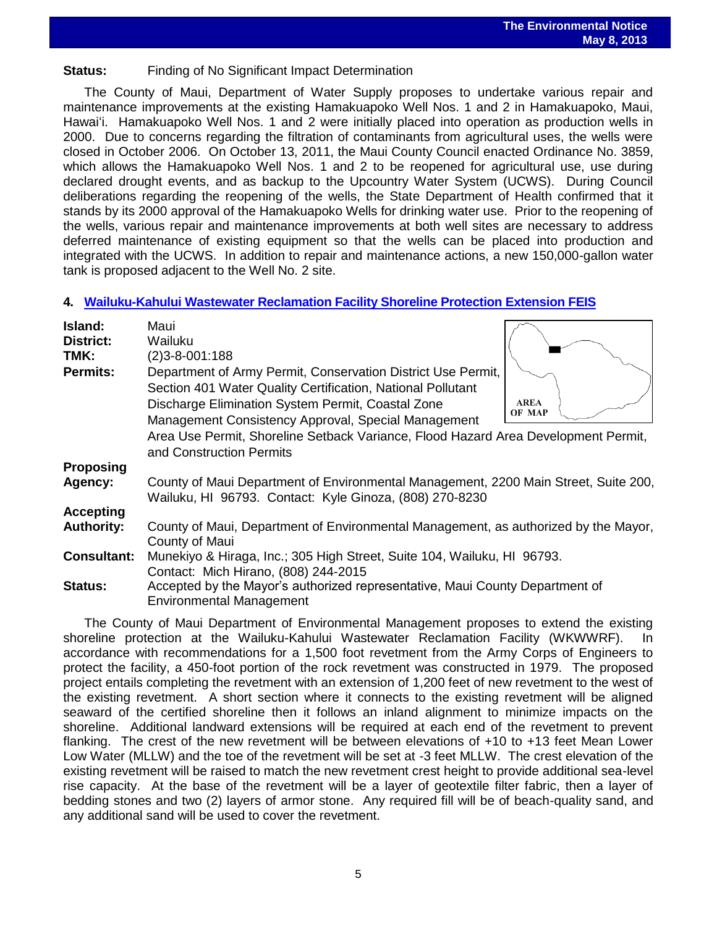# **Status:** Finding of No Significant Impact Determination

The County of Maui, Department of Water Supply proposes to undertake various repair and maintenance improvements at the existing Hamakuapoko Well Nos. 1 and 2 in Hamakuapoko, Maui, Hawaiʻi. Hamakuapoko Well Nos. 1 and 2 were initially placed into operation as production wells in 2000. Due to concerns regarding the filtration of contaminants from agricultural uses, the wells were closed in October 2006. On October 13, 2011, the Maui County Council enacted Ordinance No. 3859, which allows the Hamakuapoko Well Nos. 1 and 2 to be reopened for agricultural use, use during declared drought events, and as backup to the Upcountry Water System (UCWS). During Council deliberations regarding the reopening of the wells, the State Department of Health confirmed that it stands by its 2000 approval of the Hamakuapoko Wells for drinking water use. Prior to the reopening of the wells, various repair and maintenance improvements at both well sites are necessary to address deferred maintenance of existing equipment so that the wells can be placed into production and integrated with the UCWS. In addition to repair and maintenance actions, a new 150,000-gallon water tank is proposed adjacent to the Well No. 2 site.

# **4. [Wailuku-Kahului Wastewater Reclamation Facility Shoreline Protection Extension](http://oeqc.doh.hawaii.gov/Shared%20Documents/EA_and_EIS_Online_Library/Maui/2010s/2013-05-08-MA-5B-FEIS-Wailuku-Kahului-Wastewater-Reclamation-Facility-Shoreline-Protection-Extension.pdf) FEIS**

| Island:<br><b>District:</b><br>TMK: | Maui<br>Wailuku<br>$(2)3 - 8 - 001:188$                                                                                                                                          |                       |  |
|-------------------------------------|----------------------------------------------------------------------------------------------------------------------------------------------------------------------------------|-----------------------|--|
| <b>Permits:</b>                     | Department of Army Permit, Conservation District Use Permit,<br>Section 401 Water Quality Certification, National Pollutant<br>Discharge Elimination System Permit, Coastal Zone | <b>AREA</b><br>OF MAP |  |
|                                     | Management Consistency Approval, Special Management<br>Area Use Permit, Shoreline Setback Variance, Flood Hazard Area Development Permit,<br>and Construction Permits            |                       |  |
| <b>Proposing</b>                    |                                                                                                                                                                                  |                       |  |
| Agency:                             | County of Maui Department of Environmental Management, 2200 Main Street, Suite 200,<br>Wailuku, HI 96793. Contact: Kyle Ginoza, (808) 270-8230                                   |                       |  |
| <b>Accepting</b>                    |                                                                                                                                                                                  |                       |  |
| <b>Authority:</b>                   | County of Maui, Department of Environmental Management, as authorized by the Mayor,<br>County of Maui                                                                            |                       |  |
| <b>Consultant:</b>                  | Munekiyo & Hiraga, Inc.; 305 High Street, Suite 104, Wailuku, HI 96793.<br>Contact: Mich Hirano, (808) 244-2015                                                                  |                       |  |
| <b>Status:</b>                      | Accepted by the Mayor's authorized representative, Maui County Department of<br><b>Environmental Management</b>                                                                  |                       |  |

The County of Maui Department of Environmental Management proposes to extend the existing shoreline protection at the Wailuku-Kahului Wastewater Reclamation Facility (WKWWRF). In accordance with recommendations for a 1,500 foot revetment from the Army Corps of Engineers to protect the facility, a 450-foot portion of the rock revetment was constructed in 1979. The proposed project entails completing the revetment with an extension of 1,200 feet of new revetment to the west of the existing revetment. A short section where it connects to the existing revetment will be aligned seaward of the certified shoreline then it follows an inland alignment to minimize impacts on the shoreline. Additional landward extensions will be required at each end of the revetment to prevent flanking. The crest of the new revetment will be between elevations of +10 to +13 feet Mean Lower Low Water (MLLW) and the toe of the revetment will be set at -3 feet MLLW. The crest elevation of the existing revetment will be raised to match the new revetment crest height to provide additional sea-level rise capacity. At the base of the revetment will be a layer of geotextile filter fabric, then a layer of bedding stones and two (2) layers of armor stone. Any required fill will be of beach-quality sand, and any additional sand will be used to cover the revetment.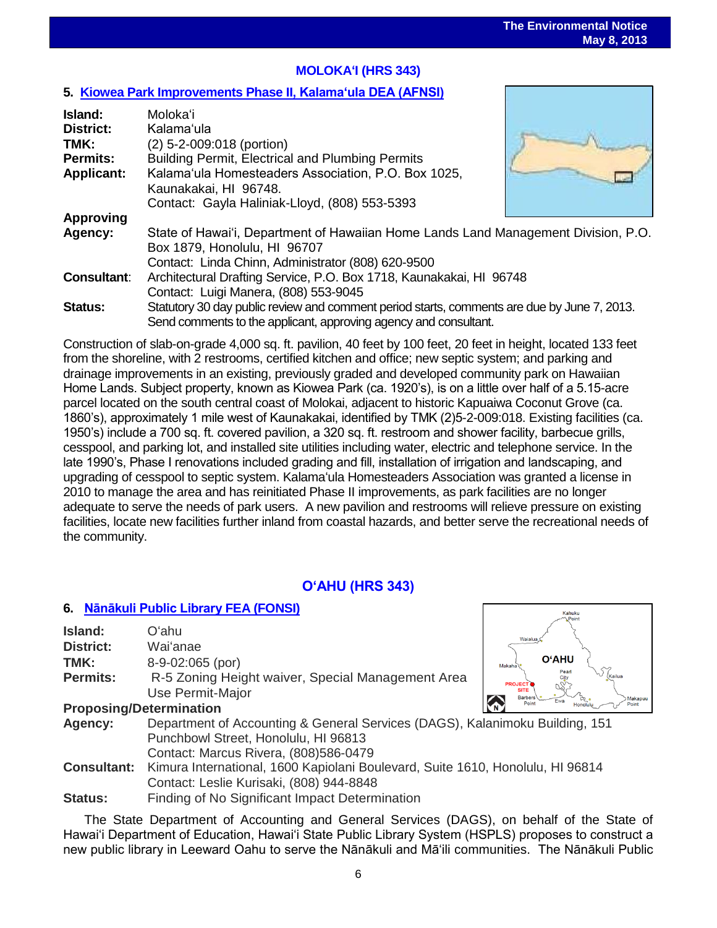# **MOLOKAʻI (HRS 343)**

## **5. Kiowea Park Improvements [Phase II, Kalamaʻula DEA \(AFNSI\)](http://oeqc.doh.hawaii.gov/Shared%20Documents/EA_and_EIS_Online_Library/Molokai/2010s/2013-05-08-MA-5E-DEA-Kiwoea-Park-Improvements-Phase-II-Kalamaula.pdf)**

| Island:<br><b>District:</b><br>TMK:<br><b>Permits:</b><br><b>Applicant:</b> | Moloka'i<br>Kalama'ula<br>(2) 5-2-009:018 (portion)<br>Building Permit, Electrical and Plumbing Permits<br>Kalama'ula Homesteaders Association, P.O. Box 1025,<br>Kaunakakai, HI 96748.<br>Contact: Gayla Haliniak-Lloyd, (808) 553-5393 |  |  |  |  |
|-----------------------------------------------------------------------------|------------------------------------------------------------------------------------------------------------------------------------------------------------------------------------------------------------------------------------------|--|--|--|--|
| <b>Approving</b>                                                            |                                                                                                                                                                                                                                          |  |  |  |  |
| Agency:                                                                     | State of Hawai'i, Department of Hawaiian Home Lands Land Management Division, P.O.                                                                                                                                                       |  |  |  |  |
|                                                                             | Box 1879, Honolulu, HI 96707<br>Contact: Linda Chinn, Administrator (808) 620-9500                                                                                                                                                       |  |  |  |  |
| <b>Consultant:</b>                                                          | Architectural Drafting Service, P.O. Box 1718, Kaunakakai, HI 96748                                                                                                                                                                      |  |  |  |  |
|                                                                             | Contact: Luigi Manera, (808) 553-9045                                                                                                                                                                                                    |  |  |  |  |
| <b>Status:</b>                                                              | Statutory 30 day public review and comment period starts, comments are due by June 7, 2013.                                                                                                                                              |  |  |  |  |
|                                                                             | Send comments to the applicant, approving agency and consultant.                                                                                                                                                                         |  |  |  |  |

Construction of slab-on-grade 4,000 sq. ft. pavilion, 40 feet by 100 feet, 20 feet in height, located 133 feet from the shoreline, with 2 restrooms, certified kitchen and office; new septic system; and parking and drainage improvements in an existing, previously graded and developed community park on Hawaiian Home Lands. Subject property, known as Kiowea Park (ca. 1920's), is on a little over half of a 5.15-acre parcel located on the south central coast of Molokai, adjacent to historic Kapuaiwa Coconut Grove (ca. 1860's), approximately 1 mile west of Kaunakakai, identified by TMK (2)5-2-009:018. Existing facilities (ca. 1950's) include a 700 sq. ft. covered pavilion, a 320 sq. ft. restroom and shower facility, barbecue grills, cesspool, and parking lot, and installed site utilities including water, electric and telephone service. In the late 1990's, Phase I renovations included grading and fill, installation of irrigation and landscaping, and upgrading of cesspool to septic system. Kalamaʻula Homesteaders Association was granted a license in 2010 to manage the area and has reinitiated Phase II improvements, as park facilities are no longer adequate to serve the needs of park users. A new pavilion and restrooms will relieve pressure on existing facilities, locate new facilities further inland from coastal hazards, and better serve the recreational needs of the community.

# **OʻAHU (HRS 343)**

#### **6. [Nānākuli Public Library](http://oeqc.doh.hawaii.gov/Shared%20Documents/EA_and_EIS_Online_Library/Molokai/2010s/2013-05-08-MA-5E-DEA-Kiwoea-Park-Improvements-Phase-II-Kalamaula.pdf) FEA (FONSI)** .<br>Kahuki **Island:** Oʻahu **District:** Waiʻanae **O'AHU TMK:** 8-9-02:065 (por) **Permits:** R-5 Zoning Height waiver, Special Management Area Use Permit-Major **Proposing/Determination Agency:** Department of Accounting & General Services (DAGS), Kalanimoku Building, 151 Punchbowl Street, Honolulu, HI 96813 Contact: Marcus Rivera, (808)586-0479 **Consultant:** Kimura International, 1600 Kapiolani Boulevard, Suite 1610, Honolulu, HI 96814 Contact: Leslie Kurisaki, (808) 944-8848

**Status:** Finding of No Significant Impact Determination

The State Department of Accounting and General Services (DAGS), on behalf of the State of Hawai'i Department of Education, Hawai'i State Public Library System (HSPLS) proposes to construct a new public library in Leeward Oahu to serve the Nānākuli and Mā'ili communities. The Nānākuli Public

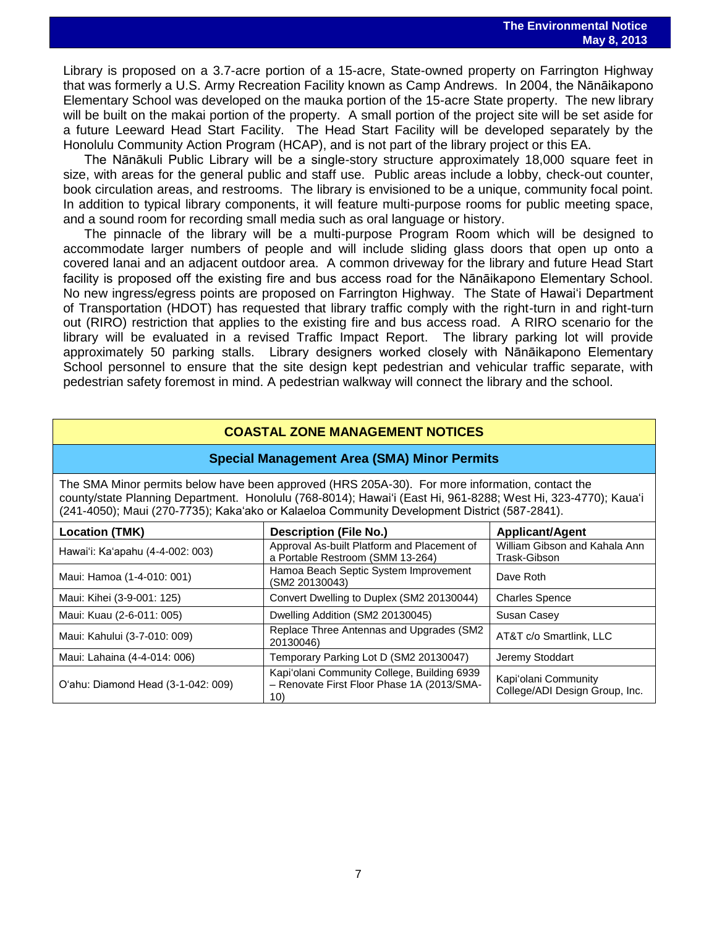may of zoro<br>Library is proposed on a 3.7-acre portion of a 15-acre, State-owned property on Farrington Highway that was formerly a U.S. Army Recreation Facility known as Camp Andrews. In 2004, the Nānāikapono Elementary School was developed on the mauka portion of the 15-acre State property. The new library will be built on the makai portion of the property. A small portion of the project site will be set aside for a future Leeward Head Start Facility. The Head Start Facility will be developed separately by the Honolulu Community Action Program (HCAP), and is not part of the library project or this EA.

The Nānākuli Public Library will be a single-story structure approximately 18,000 square feet in size, with areas for the general public and staff use. Public areas include a lobby, check-out counter, book circulation areas, and restrooms. The library is envisioned to be a unique, community focal point. In addition to typical library components, it will feature multi-purpose rooms for public meeting space, and a sound room for recording small media such as oral language or history.

The pinnacle of the library will be a multi-purpose Program Room which will be designed to accommodate larger numbers of people and will include sliding glass doors that open up onto a covered lanai and an adjacent outdoor area. A common driveway for the library and future Head Start facility is proposed off the existing fire and bus access road for the Nānāikapono Elementary School. No new ingress/egress points are proposed on Farrington Highway. The State of Hawai'i Department of Transportation (HDOT) has requested that library traffic comply with the right-turn in and right-turn out (RIRO) restriction that applies to the existing fire and bus access road. A RIRO scenario for the library will be evaluated in a revised Traffic Impact Report. The library parking lot will provide approximately 50 parking stalls. Library designers worked closely with Nānāikapono Elementary School personnel to ensure that the site design kept pedestrian and vehicular traffic separate, with pedestrian safety foremost in mind. A pedestrian walkway will connect the library and the school.

### **COASTAL ZONE MANAGEMENT NOTICES**

#### **Special Management Area (SMA) Minor Permits**

The SMA Minor permits below have been approved (HRS 205A-30). For more information, contact the county/state Planning Department. Honolulu (768-8014); Hawaiʻi (East Hi, 961-8288; West Hi, 323-4770); Kauaʻi (241-4050); Maui (270-7735); Kakaʻako or Kalaeloa Community Development District (587-2841).

| <b>Location (TMK)</b>              | <b>Description (File No.)</b>                                                                    | <b>Applicant/Agent</b>                                 |
|------------------------------------|--------------------------------------------------------------------------------------------------|--------------------------------------------------------|
| Hawai'i: Ka'apahu (4-4-002: 003)   | Approval As-built Platform and Placement of<br>a Portable Restroom (SMM 13-264)                  | William Gibson and Kahala Ann<br>Trask-Gibson          |
| Maui: Hamoa (1-4-010: 001)         | Hamoa Beach Septic System Improvement<br>(SM2 20130043)                                          | Dave Roth                                              |
| Maui: Kihei (3-9-001: 125)         | Convert Dwelling to Duplex (SM2 20130044)                                                        | <b>Charles Spence</b>                                  |
| Maui: Kuau (2-6-011: 005)          | Dwelling Addition (SM2 20130045)                                                                 | Susan Casey                                            |
| Maui: Kahului (3-7-010: 009)       | Replace Three Antennas and Upgrades (SM2<br>20130046)                                            | AT&T c/o Smartlink, LLC                                |
| Maui: Lahaina (4-4-014: 006)       | Temporary Parking Lot D (SM2 20130047)                                                           | Jeremy Stoddart                                        |
| O'ahu: Diamond Head (3-1-042: 009) | Kapi'olani Community College, Building 6939<br>- Renovate First Floor Phase 1A (2013/SMA-<br>10) | Kapi'olani Community<br>College/ADI Design Group, Inc. |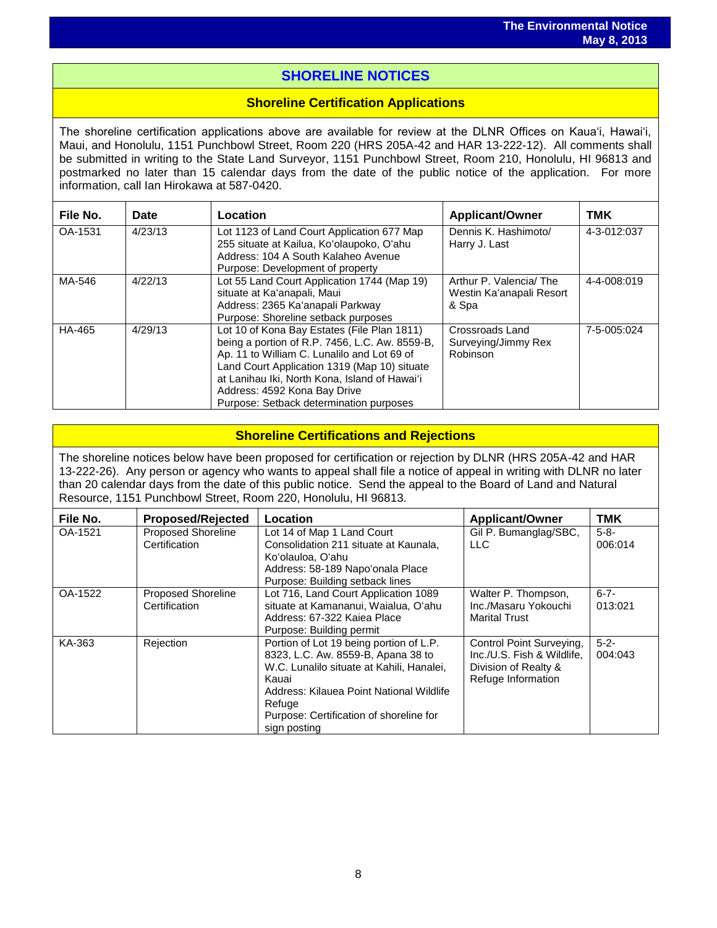# i<br>I **SHORELINE NOTICES**

## **Shoreline Certification Applications**

The shoreline certification applications above are available for review at the DLNR Offices on Kauaʻi, Hawaiʻi, Maui, and Honolulu, 1151 Punchbowl Street, Room 220 (HRS 205A-42 and HAR 13-222-12). All comments shall be submitted in writing to the State Land Surveyor, 1151 Punchbowl Street, Room 210, Honolulu, HI 96813 and postmarked no later than 15 calendar days from the date of the public notice of the application. For more information, call Ian Hirokawa at 587-0420.

| File No. | Date    | Location                                                                                                                                                                                                                                                                                                                 | <b>Applicant/Owner</b>                                      | <b>TMK</b>  |
|----------|---------|--------------------------------------------------------------------------------------------------------------------------------------------------------------------------------------------------------------------------------------------------------------------------------------------------------------------------|-------------------------------------------------------------|-------------|
| OA-1531  | 4/23/13 | Lot 1123 of Land Court Application 677 Map<br>255 situate at Kailua, Ko'olaupoko, O'ahu<br>Address: 104 A South Kalaheo Avenue<br>Purpose: Development of property                                                                                                                                                       | Dennis K. Hashimoto/<br>Harry J. Last                       | 4-3-012:037 |
| MA-546   | 4/22/13 | Lot 55 Land Court Application 1744 (Map 19)<br>situate at Ka'anapali, Maui<br>Address: 2365 Ka'anapali Parkway<br>Purpose: Shoreline setback purposes                                                                                                                                                                    | Arthur P. Valencia/The<br>Westin Ka'anapali Resort<br>& Spa | 4-4-008:019 |
| HA-465   | 4/29/13 | Lot 10 of Kona Bay Estates (File Plan 1811)<br>being a portion of R.P. 7456, L.C. Aw. 8559-B,<br>Ap. 11 to William C. Lunalilo and Lot 69 of<br>Land Court Application 1319 (Map 10) situate<br>at Lanihau Iki, North Kona, Island of Hawai'i<br>Address: 4592 Kona Bay Drive<br>Purpose: Setback determination purposes | Crossroads Land<br>Surveying/Jimmy Rex<br>Robinson          | 7-5-005:024 |

# **Shoreline Certifications and Rejections**

The shoreline notices below have been proposed for certification or rejection by DLNR (HRS 205A-42 and HAR 13-222-26). Any person or agency who wants to appeal shall file a notice of appeal in writing with DLNR no later than 20 calendar days from the date of this public notice. Send the appeal to the Board of Land and Natural Resource, 1151 Punchbowl Street, Room 220, Honolulu, HI 96813.

| File No. | <b>Proposed/Rejected</b>                   | Location                                                                                                                                                                                                                                             | <b>Applicant/Owner</b>                                                                               | <b>TMK</b>           |
|----------|--------------------------------------------|------------------------------------------------------------------------------------------------------------------------------------------------------------------------------------------------------------------------------------------------------|------------------------------------------------------------------------------------------------------|----------------------|
| OA-1521  | <b>Proposed Shoreline</b><br>Certification | Lot 14 of Map 1 Land Court<br>Consolidation 211 situate at Kaunala.<br>Koʻolauloa, Oʻahu<br>Address: 58-189 Napo'onala Place<br>Purpose: Building setback lines                                                                                      | Gil P. Bumanglag/SBC,<br><b>LLC</b>                                                                  | $5 - 8 -$<br>006:014 |
| OA-1522  | <b>Proposed Shoreline</b><br>Certification | Lot 716, Land Court Application 1089<br>situate at Kamananui, Waialua, O'ahu<br>Address: 67-322 Kaiea Place<br>Purpose: Building permit                                                                                                              | Walter P. Thompson,<br>Inc./Masaru Yokouchi<br><b>Marital Trust</b>                                  | $6 - 7 -$<br>013:021 |
| KA-363   | Rejection                                  | Portion of Lot 19 being portion of L.P.<br>8323, L.C. Aw. 8559-B, Apana 38 to<br>W.C. Lunalilo situate at Kahili, Hanalei,<br>Kauai<br>Address: Kilauea Point National Wildlife<br>Refuge<br>Purpose: Certification of shoreline for<br>sign posting | Control Point Surveying,<br>Inc./U.S. Fish & Wildlife,<br>Division of Realty &<br>Refuge Information | $5 - 2 -$<br>004:043 |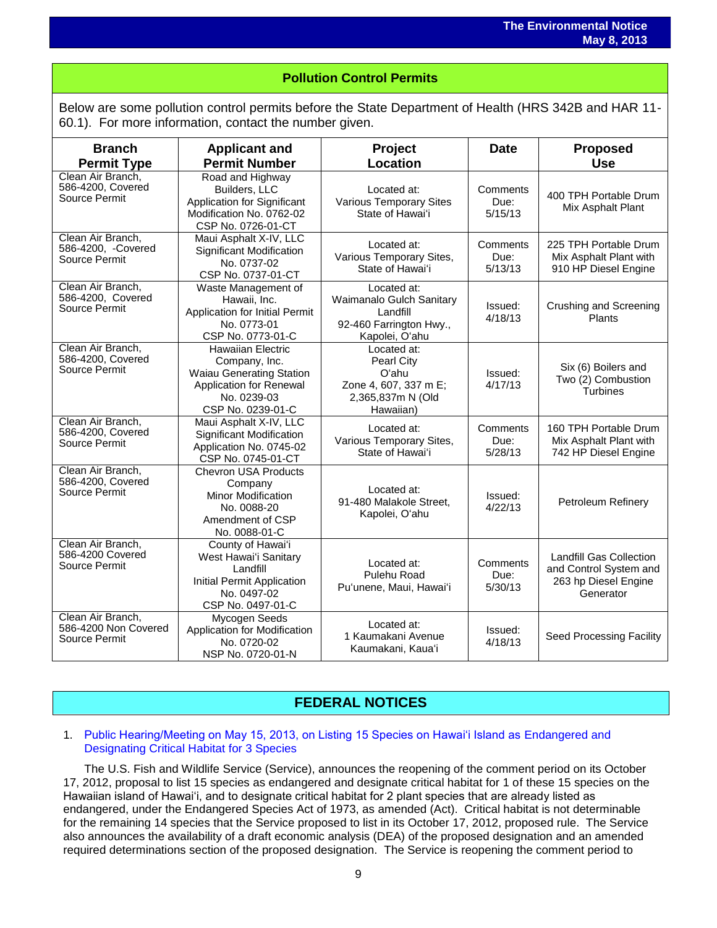# i<br>I **Pollution Control Permits**

Below are some pollution control permits before the State Department of Health (HRS 342B and HAR 11- 60.1). For more information, contact the number given.

| <b>Branch</b><br><b>Permit Type</b>                        | <b>Applicant and</b><br><b>Permit Number</b>                                                                                                | Project<br><b>Location</b>                                                                           | <b>Date</b>                 | <b>Proposed</b><br><b>Use</b>                                                                 |
|------------------------------------------------------------|---------------------------------------------------------------------------------------------------------------------------------------------|------------------------------------------------------------------------------------------------------|-----------------------------|-----------------------------------------------------------------------------------------------|
| Clean Air Branch,<br>586-4200, Covered<br>Source Permit    | Road and Highway<br>Builders, LLC<br><b>Application for Significant</b><br>Modification No. 0762-02<br>CSP No. 0726-01-CT                   | Located at:<br><b>Various Temporary Sites</b><br>State of Hawai'i                                    | Comments<br>Due:<br>5/15/13 | 400 TPH Portable Drum<br>Mix Asphalt Plant                                                    |
| Clean Air Branch,<br>586-4200, -Covered<br>Source Permit   | Maui Asphalt X-IV, LLC<br><b>Significant Modification</b><br>No. 0737-02<br>CSP No. 0737-01-CT                                              | Located at:<br>Various Temporary Sites,<br>State of Hawai'i                                          | Comments<br>Due:<br>5/13/13 | 225 TPH Portable Drum<br>Mix Asphalt Plant with<br>910 HP Diesel Engine                       |
| Clean Air Branch,<br>586-4200, Covered<br>Source Permit    | Waste Management of<br>Hawaii, Inc.<br>Application for Initial Permit<br>No. 0773-01<br>CSP No. 0773-01-C                                   | Located at:<br>Waimanalo Gulch Sanitary<br>Landfill<br>92-460 Farrington Hwy.,<br>Kapolei, O'ahu     | Issued:<br>4/18/13          | <b>Crushing and Screening</b><br>Plants                                                       |
| Clean Air Branch,<br>586-4200, Covered<br>Source Permit    | <b>Hawaiian Electric</b><br>Company, Inc.<br><b>Waiau Generating Station</b><br>Application for Renewal<br>No. 0239-03<br>CSP No. 0239-01-C | Located at:<br><b>Pearl City</b><br>Oʻahu<br>Zone 4, 607, 337 m E;<br>2,365,837m N (Old<br>Hawaiian) | Issued:<br>4/17/13          | Six (6) Boilers and<br>Two (2) Combustion<br><b>Turbines</b>                                  |
| Clean Air Branch,<br>586-4200, Covered<br>Source Permit    | Maui Asphalt X-IV, LLC<br>Significant Modification<br>Application No. 0745-02<br>CSP No. 0745-01-CT                                         | Located at:<br>Various Temporary Sites,<br>State of Hawai'i                                          | Comments<br>Due:<br>5/28/13 | 160 TPH Portable Drum<br>Mix Asphalt Plant with<br>742 HP Diesel Engine                       |
| Clean Air Branch,<br>586-4200, Covered<br>Source Permit    | <b>Chevron USA Products</b><br>Company<br><b>Minor Modification</b><br>No. 0088-20<br>Amendment of CSP<br>No. 0088-01-C                     | Located at:<br>91-480 Malakole Street,<br>Kapolei, O'ahu                                             | Issued:<br>4/22/13          | Petroleum Refinery                                                                            |
| Clean Air Branch,<br>586-4200 Covered<br>Source Permit     | County of Hawai'i<br>West Hawai'i Sanitary<br>Landfill<br>Initial Permit Application<br>No. 0497-02<br>CSP No. 0497-01-C                    | Located at:<br>Pulehu Road<br>Pu'unene, Maui, Hawai'i                                                | Comments<br>Due:<br>5/30/13 | <b>Landfill Gas Collection</b><br>and Control System and<br>263 hp Diesel Engine<br>Generator |
| Clean Air Branch,<br>586-4200 Non Covered<br>Source Permit | Mycogen Seeds<br>Application for Modification<br>No. 0720-02<br>NSP No. 0720-01-N                                                           | Located at:<br>1 Kaumakani Avenue<br>Kaumakani, Kaua'i                                               | Issued:<br>4/18/13          | Seed Processing Facility                                                                      |

# **FEDERAL NOTICES**

### 1. [Public Hearing/Meeting on May 15, 2013, on Listing 15 Species on Hawaiʻi Island as Endangered and](http://www.gpo.gov/fdsys/pkg/FR-2013-04-30/pdf/2013-10044.pdf)  [Designating Critical Habitat for 3 Species](http://www.gpo.gov/fdsys/pkg/FR-2013-04-30/pdf/2013-10044.pdf)

The U.S. Fish and Wildlife Service (Service), announces the reopening of the comment period on its October 17, 2012, proposal to list 15 species as endangered and designate critical habitat for 1 of these 15 species on the Hawaiian island of Hawai'i, and to designate critical habitat for 2 plant species that are already listed as endangered, under the Endangered Species Act of 1973, as amended (Act). Critical habitat is not determinable for the remaining 14 species that the Service proposed to list in its October 17, 2012, proposed rule. The Service also announces the availability of a draft economic analysis (DEA) of the proposed designation and an amended required determinations section of the proposed designation. The Service is reopening the comment period to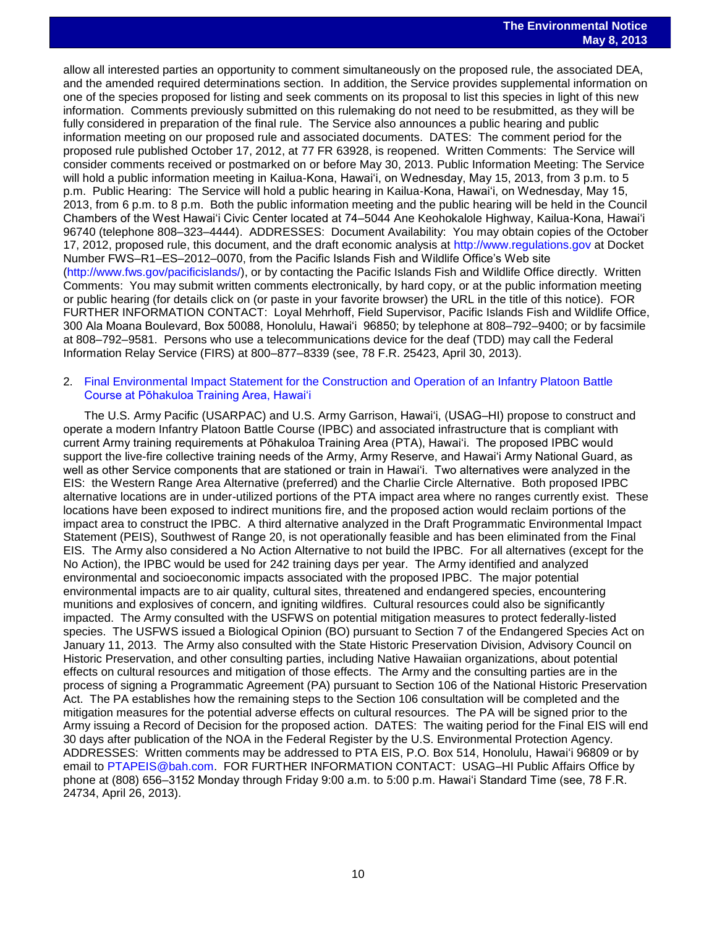allow all interested parties an opportunity to comment simultaneously on the proposed rule, the associated DEA, and the amended required determinations section. In addition, the Service provides supplemental information on one of the species proposed for listing and seek comments on its proposal to list this species in light of this new information. Comments previously submitted on this rulemaking do not need to be resubmitted, as they will be fully considered in preparation of the final rule. The Service also announces a public hearing and public information meeting on our proposed rule and associated documents. DATES: The comment period for the proposed rule published October 17, 2012, at 77 FR 63928, is reopened. Written Comments: The Service will consider comments received or postmarked on or before May 30, 2013. Public Information Meeting: The Service will hold a public information meeting in Kailua-Kona, Hawai'i, on Wednesday, May 15, 2013, from 3 p.m. to 5 p.m. Public Hearing: The Service will hold a public hearing in Kailua-Kona, Hawai'i, on Wednesday, May 15, 2013, from 6 p.m. to 8 p.m. Both the public information meeting and the public hearing will be held in the Council Chambers of the West Hawai'i Civic Center located at 74–5044 Ane Keohokalole Highway, Kailua-Kona, Hawai'i 96740 (telephone 808–323–4444). ADDRESSES: Document Availability: You may obtain copies of the October 17, 2012, proposed rule, this document, and the draft economic analysis at [http://www.regulations.gov](http://www.regulations.gov/) at Docket Number FWS–R1–ES–2012–0070, from the Pacific Islands Fish and Wildlife Office's Web site [\(http://www.fws.gov/pacificislands/\)](http://www.fws.gov/pacificislands/), or by contacting the Pacific Islands Fish and Wildlife Office directly. Written Comments: You may submit written comments electronically, by hard copy, or at the public information meeting or public hearing (for details click on (or paste in your favorite browser) the URL in the title of this notice). FOR FURTHER INFORMATION CONTACT: Loyal Mehrhoff, Field Supervisor, Pacific Islands Fish and Wildlife Office, 300 Ala Moana Boulevard, Box 50088, Honolulu, Hawai'i 96850; by telephone at 808–792–9400; or by facsimile at 808–792–9581. Persons who use a telecommunications device for the deaf (TDD) may call the Federal Information Relay Service (FIRS) at 800–877–8339 (see, 78 F.R. 25423, April 30, 2013).

#### 2. [Final Environmental Impact Statement for the Construction and Operation of an Infantry Platoon Battle](http://www.gpo.gov/fdsys/pkg/FR-2013-04-26/pdf/2013-09827.pdf)  [Course at Pōhakuloa Training Area, Hawai'i](http://www.gpo.gov/fdsys/pkg/FR-2013-04-26/pdf/2013-09827.pdf)

The U.S. Army Pacific (USARPAC) and U.S. Army Garrison, Hawai'i, (USAG–HI) propose to construct and operate a modern Infantry Platoon Battle Course (IPBC) and associated infrastructure that is compliant with current Army training requirements at Pōhakuloa Training Area (PTA), Hawai'i. The proposed IPBC would support the live-fire collective training needs of the Army, Army Reserve, and Hawai'i Army National Guard, as well as other Service components that are stationed or train in Hawai'i. Two alternatives were analyzed in the EIS: the Western Range Area Alternative (preferred) and the Charlie Circle Alternative. Both proposed IPBC alternative locations are in under-utilized portions of the PTA impact area where no ranges currently exist. These locations have been exposed to indirect munitions fire, and the proposed action would reclaim portions of the impact area to construct the IPBC. A third alternative analyzed in the Draft Programmatic Environmental Impact Statement (PEIS), Southwest of Range 20, is not operationally feasible and has been eliminated from the Final EIS. The Army also considered a No Action Alternative to not build the IPBC. For all alternatives (except for the No Action), the IPBC would be used for 242 training days per year. The Army identified and analyzed environmental and socioeconomic impacts associated with the proposed IPBC. The major potential environmental impacts are to air quality, cultural sites, threatened and endangered species, encountering munitions and explosives of concern, and igniting wildfires. Cultural resources could also be significantly impacted. The Army consulted with the USFWS on potential mitigation measures to protect federally-listed species. The USFWS issued a Biological Opinion (BO) pursuant to Section 7 of the Endangered Species Act on January 11, 2013. The Army also consulted with the State Historic Preservation Division, Advisory Council on Historic Preservation, and other consulting parties, including Native Hawaiian organizations, about potential effects on cultural resources and mitigation of those effects. The Army and the consulting parties are in the process of signing a Programmatic Agreement (PA) pursuant to Section 106 of the National Historic Preservation Act. The PA establishes how the remaining steps to the Section 106 consultation will be completed and the mitigation measures for the potential adverse effects on cultural resources. The PA will be signed prior to the Army issuing a Record of Decision for the proposed action. DATES: The waiting period for the Final EIS will end 30 days after publication of the NOA in the Federal Register by the U.S. Environmental Protection Agency. ADDRESSES: Written comments may be addressed to PTA EIS, P.O. Box 514, Honolulu, Hawai'i 96809 or by email to [PTAPEIS@bah.com.](mailto:PTAPEIS@bah.com) FOR FURTHER INFORMATION CONTACT: USAG–HI Public Affairs Office by phone at (808) 656–3152 Monday through Friday 9:00 a.m. to 5:00 p.m. Hawai'i Standard Time (see, 78 F.R. 24734, April 26, 2013).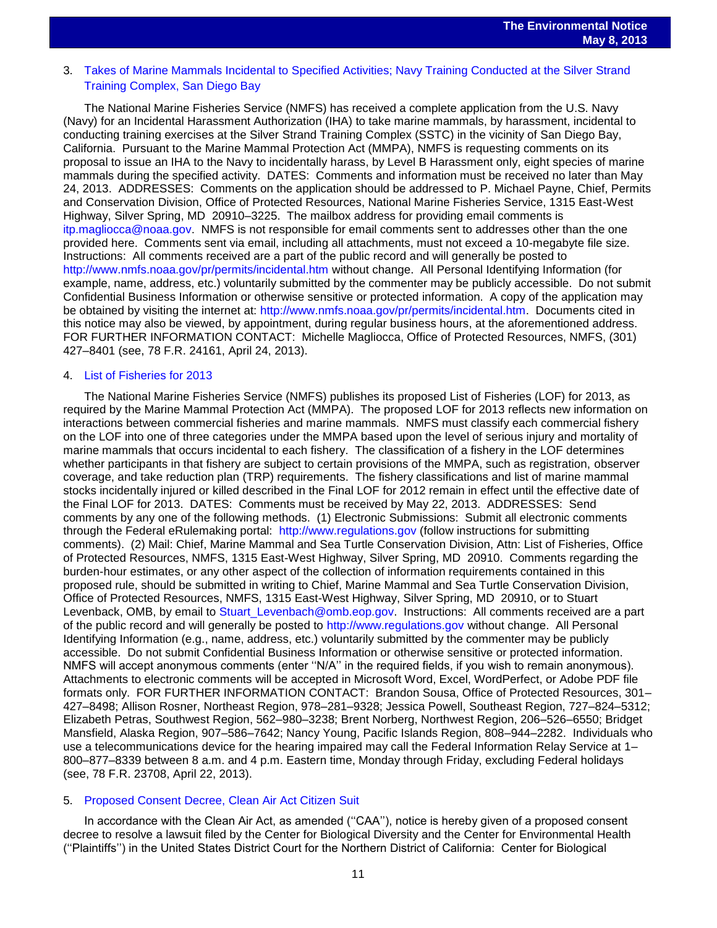# 3. [Takes of Marine Mammals Incidental to Specified Activities; Navy Training Conducted at the Silver Strand](http://www.gpo.gov/fdsys/pkg/FR-2013-04-24/pdf/2013-09618.pdf)  [Training Complex, San Diego Bay](http://www.gpo.gov/fdsys/pkg/FR-2013-04-24/pdf/2013-09618.pdf)

The National Marine Fisheries Service (NMFS) has received a complete application from the U.S. Navy (Navy) for an Incidental Harassment Authorization (IHA) to take marine mammals, by harassment, incidental to conducting training exercises at the Silver Strand Training Complex (SSTC) in the vicinity of San Diego Bay, California. Pursuant to the Marine Mammal Protection Act (MMPA), NMFS is requesting comments on its proposal to issue an IHA to the Navy to incidentally harass, by Level B Harassment only, eight species of marine mammals during the specified activity. DATES: Comments and information must be received no later than May 24, 2013. ADDRESSES: Comments on the application should be addressed to P. Michael Payne, Chief, Permits and Conservation Division, Office of Protected Resources, National Marine Fisheries Service, 1315 East-West Highway, Silver Spring, MD 20910–3225. The mailbox address for providing email comments is [itp.magliocca@noaa.gov.](mailto:itp.magliocca@noaa.gov) NMFS is not responsible for email comments sent to addresses other than the one provided here. Comments sent via email, including all attachments, must not exceed a 10-megabyte file size. Instructions: All comments received are a part of the public record and will generally be posted to <http://www.nmfs.noaa.gov/pr/permits/incidental.htm> without change. All Personal Identifying Information (for example, name, address, etc.) voluntarily submitted by the commenter may be publicly accessible. Do not submit Confidential Business Information or otherwise sensitive or protected information. A copy of the application may be obtained by visiting the internet at: [http://www.nmfs.noaa.gov/pr/permits/incidental.htm.](http://www.nmfs.noaa.gov/pr/permits/incidental.htm) Documents cited in this notice may also be viewed, by appointment, during regular business hours, at the aforementioned address. FOR FURTHER INFORMATION CONTACT: Michelle Magliocca, Office of Protected Resources, NMFS, (301) 427–8401 (see, 78 F.R. 24161, April 24, 2013).

#### 4. [List of Fisheries for 2013](http://www.gpo.gov/fdsys/pkg/FR-2013-04-22/pdf/2013-09391.pdf)

The National Marine Fisheries Service (NMFS) publishes its proposed List of Fisheries (LOF) for 2013, as required by the Marine Mammal Protection Act (MMPA). The proposed LOF for 2013 reflects new information on interactions between commercial fisheries and marine mammals. NMFS must classify each commercial fishery on the LOF into one of three categories under the MMPA based upon the level of serious injury and mortality of marine mammals that occurs incidental to each fishery. The classification of a fishery in the LOF determines whether participants in that fishery are subject to certain provisions of the MMPA, such as registration, observer coverage, and take reduction plan (TRP) requirements. The fishery classifications and list of marine mammal stocks incidentally injured or killed described in the Final LOF for 2012 remain in effect until the effective date of the Final LOF for 2013. DATES: Comments must be received by May 22, 2013. ADDRESSES: Send comments by any one of the following methods. (1) Electronic Submissions: Submit all electronic comments through the Federal eRulemaking portal: [http://www.regulations.gov](http://www.regulations.gov/) (follow instructions for submitting comments). (2) Mail: Chief, Marine Mammal and Sea Turtle Conservation Division, Attn: List of Fisheries, Office of Protected Resources, NMFS, 1315 East-West Highway, Silver Spring, MD 20910. Comments regarding the burden-hour estimates, or any other aspect of the collection of information requirements contained in this proposed rule, should be submitted in writing to Chief, Marine Mammal and Sea Turtle Conservation Division, Office of Protected Resources, NMFS, 1315 East-West Highway, Silver Spring, MD 20910, or to Stuart Levenback, OMB, by email to [Stuart\\_Levenbach@omb.eop.gov.](mailto:Stuart_Levenbach@omb.eop.gov) Instructions: All comments received are a part of the public record and will generally be posted to [http://www.regulations.gov](http://www.regulations.gov/) without change. All Personal Identifying Information (e.g., name, address, etc.) voluntarily submitted by the commenter may be publicly accessible. Do not submit Confidential Business Information or otherwise sensitive or protected information. NMFS will accept anonymous comments (enter ''N/A'' in the required fields, if you wish to remain anonymous). Attachments to electronic comments will be accepted in Microsoft Word, Excel, WordPerfect, or Adobe PDF file formats only. FOR FURTHER INFORMATION CONTACT: Brandon Sousa, Office of Protected Resources, 301– 427–8498; Allison Rosner, Northeast Region, 978–281–9328; Jessica Powell, Southeast Region, 727–824–5312; Elizabeth Petras, Southwest Region, 562–980–3238; Brent Norberg, Northwest Region, 206–526–6550; Bridget Mansfield, Alaska Region, 907–586–7642; Nancy Young, Pacific Islands Region, 808–944–2282. Individuals who use a telecommunications device for the hearing impaired may call the Federal Information Relay Service at 1– 800–877–8339 between 8 a.m. and 4 p.m. Eastern time, Monday through Friday, excluding Federal holidays (see, 78 F.R. 23708, April 22, 2013).

#### 5. [Proposed Consent Decree, Clean Air Act Citizen Suit](http://www.gpo.gov/fdsys/pkg/FR-2013-04-19/pdf/2013-09292.pdf)

In accordance with the Clean Air Act, as amended ("CAA"), notice is hereby given of a proposed consent decree to resolve a lawsuit filed by the Center for Biological Diversity and the Center for Environmental Health (''Plaintiffs'') in the United States District Court for the Northern District of California: Center for Biological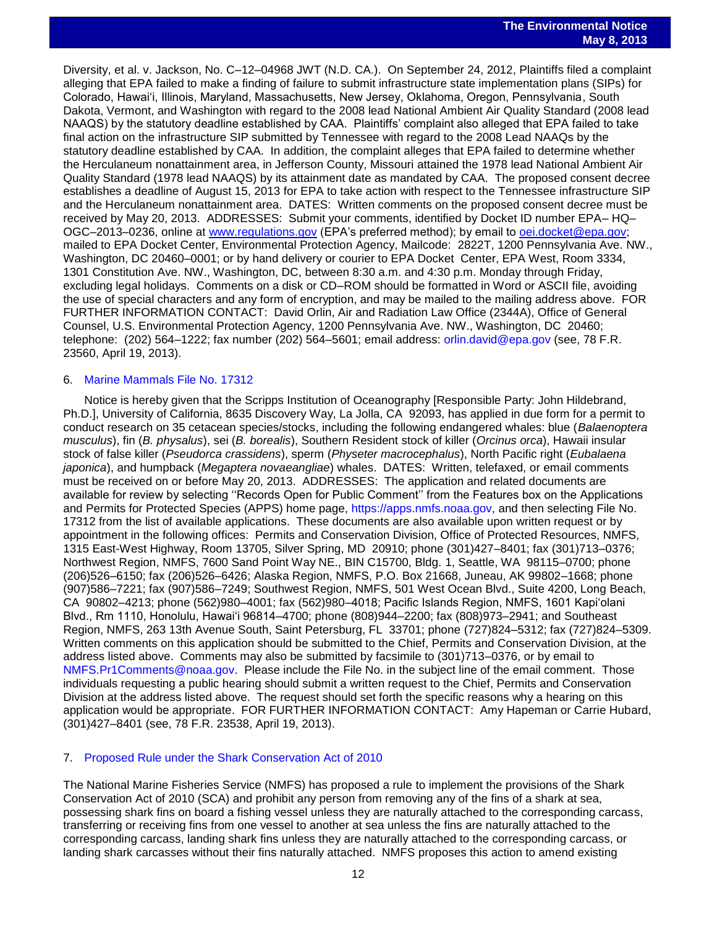Diversity, et al. v. Jackson, No. C–12–04968 JWT (N.D. CA.). On September 24, 2012, Plaintiffs filed a complaint alleging that EPA failed to make a finding of failure to submit infrastructure state implementation plans (SIPs) for Colorado, Hawai'i, Illinois, Maryland, Massachusetts, New Jersey, Oklahoma, Oregon, Pennsylvania, South Dakota, Vermont, and Washington with regard to the 2008 lead National Ambient Air Quality Standard (2008 lead NAAQS) by the statutory deadline established by CAA. Plaintiffs' complaint also alleged that EPA failed to take final action on the infrastructure SIP submitted by Tennessee with regard to the 2008 Lead NAAQs by the statutory deadline established by CAA. In addition, the complaint alleges that EPA failed to determine whether the Herculaneum nonattainment area, in Jefferson County, Missouri attained the 1978 lead National Ambient Air Quality Standard (1978 lead NAAQS) by its attainment date as mandated by CAA. The proposed consent decree establishes a deadline of August 15, 2013 for EPA to take action with respect to the Tennessee infrastructure SIP and the Herculaneum nonattainment area. DATES: Written comments on the proposed consent decree must be received by May 20, 2013. ADDRESSES: Submit your comments, identified by Docket ID number EPA– HQ– OGC–2013–0236, online at [www.regulations.gov](http://www.regulations.gov/) (EPA's preferred method); by email to [oei.docket@epa.gov;](mailto:oei.docket@epa.gov) mailed to EPA Docket Center, Environmental Protection Agency, Mailcode: 2822T, 1200 Pennsylvania Ave. NW., Washington, DC 20460–0001; or by hand delivery or courier to EPA Docket Center, EPA West, Room 3334, 1301 Constitution Ave. NW., Washington, DC, between 8:30 a.m. and 4:30 p.m. Monday through Friday, excluding legal holidays. Comments on a disk or CD–ROM should be formatted in Word or ASCII file, avoiding the use of special characters and any form of encryption, and may be mailed to the mailing address above. FOR FURTHER INFORMATION CONTACT: David Orlin, Air and Radiation Law Office (2344A), Office of General Counsel, U.S. Environmental Protection Agency, 1200 Pennsylvania Ave. NW., Washington, DC 20460; telephone: (202) 564–1222; fax number (202) 564–5601; email address: [orlin.david@epa.gov](mailto:orlin.david@epa.gov) (see, 78 F.R. 23560, April 19, 2013).

### 6. [Marine Mammals File No. 17312](http://www.gpo.gov/fdsys/pkg/FR-2013-04-19/pdf/2013-09249.pdf)

Notice is hereby given that the Scripps Institution of Oceanography [Responsible Party: John Hildebrand, Ph.D.], University of California, 8635 Discovery Way, La Jolla, CA 92093, has applied in due form for a permit to conduct research on 35 cetacean species/stocks, including the following endangered whales: blue (*Balaenoptera musculus*), fin (*B. physalus*), sei (*B. borealis*), Southern Resident stock of killer (*Orcinus orca*), Hawaii insular stock of false killer (*Pseudorca crassidens*), sperm (*Physeter macrocephalus*), North Pacific right (*Eubalaena japonica*), and humpback (*Megaptera novaeangliae*) whales. DATES: Written, telefaxed, or email comments must be received on or before May 20, 2013. ADDRESSES: The application and related documents are available for review by selecting ''Records Open for Public Comment'' from the Features box on the Applications and Permits for Protected Species (APPS) home page, [https://apps.nmfs.noaa.gov,](https://apps.nmfs.noaa.gov/) and then selecting File No. 17312 from the list of available applications. These documents are also available upon written request or by appointment in the following offices: Permits and Conservation Division, Office of Protected Resources, NMFS, 1315 East-West Highway, Room 13705, Silver Spring, MD 20910; phone (301)427–8401; fax (301)713–0376; Northwest Region, NMFS, 7600 Sand Point Way NE., BIN C15700, Bldg. 1, Seattle, WA 98115–0700; phone (206)526–6150; fax (206)526–6426; Alaska Region, NMFS, P.O. Box 21668, Juneau, AK 99802–1668; phone (907)586–7221; fax (907)586–7249; Southwest Region, NMFS, 501 West Ocean Blvd., Suite 4200, Long Beach, CA 90802–4213; phone (562)980–4001; fax (562)980–4018; Pacific Islands Region, NMFS, 1601 Kapi'olani Blvd., Rm 1110, Honolulu, Hawai'i 96814–4700; phone (808)944–2200; fax (808)973–2941; and Southeast Region, NMFS, 263 13th Avenue South, Saint Petersburg, FL 33701; phone (727)824–5312; fax (727)824–5309. Written comments on this application should be submitted to the Chief, Permits and Conservation Division, at the address listed above. Comments may also be submitted by facsimile to (301)713–0376, or by email to [NMFS.Pr1Comments@noaa.gov.](mailto:NMFS.Pr1Comments@noaa.gov) Please include the File No. in the subject line of the email comment. Those individuals requesting a public hearing should submit a written request to the Chief, Permits and Conservation Division at the address listed above. The request should set forth the specific reasons why a hearing on this application would be appropriate. FOR FURTHER INFORMATION CONTACT: Amy Hapeman or Carrie Hubard, (301)427–8401 (see, 78 F.R. 23538, April 19, 2013).

### 7. [Proposed Rule under the Shark Conservation Act of 2010](http://www.gpo.gov/fdsys/pkg/FR-2013-05-02/pdf/2013-10439.pdf)

The National Marine Fisheries Service (NMFS) has proposed a rule to implement the provisions of the Shark Conservation Act of 2010 (SCA) and prohibit any person from removing any of the fins of a shark at sea, possessing shark fins on board a fishing vessel unless they are naturally attached to the corresponding carcass, transferring or receiving fins from one vessel to another at sea unless the fins are naturally attached to the corresponding carcass, landing shark fins unless they are naturally attached to the corresponding carcass, or landing shark carcasses without their fins naturally attached. NMFS proposes this action to amend existing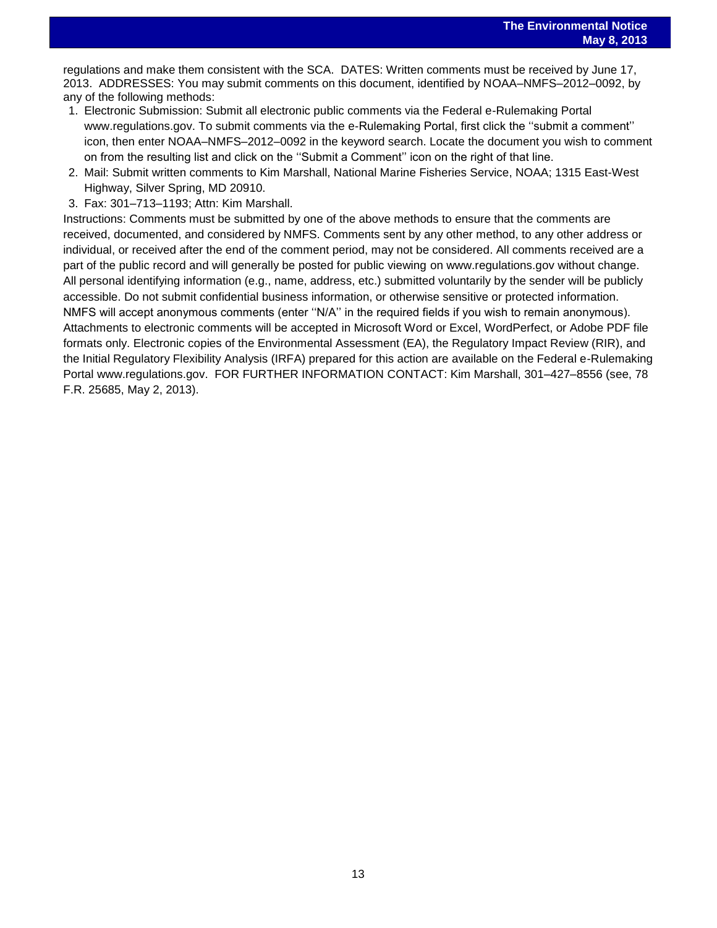regulations and make them consistent with the SCA. DATES: Written comments must be received by June 17,<br>, regulations and make them consistent with the SCA. DATES: Written comments must be received by June 17, 2013. ADDRESSES: You may submit comments on this document, identified by NOAA–NMFS–2012–0092, by any of the following methods:

- 1. Electronic Submission: Submit all electronic public comments via the Federal e-Rulemaking Portal www.regulations.gov. To submit comments via the e-Rulemaking Portal, first click the ''submit a comment'' icon, then enter NOAA–NMFS–2012–0092 in the keyword search. Locate the document you wish to comment on from the resulting list and click on the ''Submit a Comment'' icon on the right of that line.
- 2. Mail: Submit written comments to Kim Marshall, National Marine Fisheries Service, NOAA; 1315 East-West Highway, Silver Spring, MD 20910.
- 3. Fax: 301–713–1193; Attn: Kim Marshall.

Instructions: Comments must be submitted by one of the above methods to ensure that the comments are received, documented, and considered by NMFS. Comments sent by any other method, to any other address or individual, or received after the end of the comment period, may not be considered. All comments received are a part of the public record and will generally be posted for public viewing on www.regulations.gov without change. All personal identifying information (e.g., name, address, etc.) submitted voluntarily by the sender will be publicly accessible. Do not submit confidential business information, or otherwise sensitive or protected information. NMFS will accept anonymous comments (enter ''N/A'' in the required fields if you wish to remain anonymous). Attachments to electronic comments will be accepted in Microsoft Word or Excel, WordPerfect, or Adobe PDF file formats only. Electronic copies of the Environmental Assessment (EA), the Regulatory Impact Review (RIR), and the Initial Regulatory Flexibility Analysis (IRFA) prepared for this action are available on the Federal e-Rulemaking Portal www.regulations.gov. FOR FURTHER INFORMATION CONTACT: Kim Marshall, 301–427–8556 (see, 78 F.R. 25685, May 2, 2013).